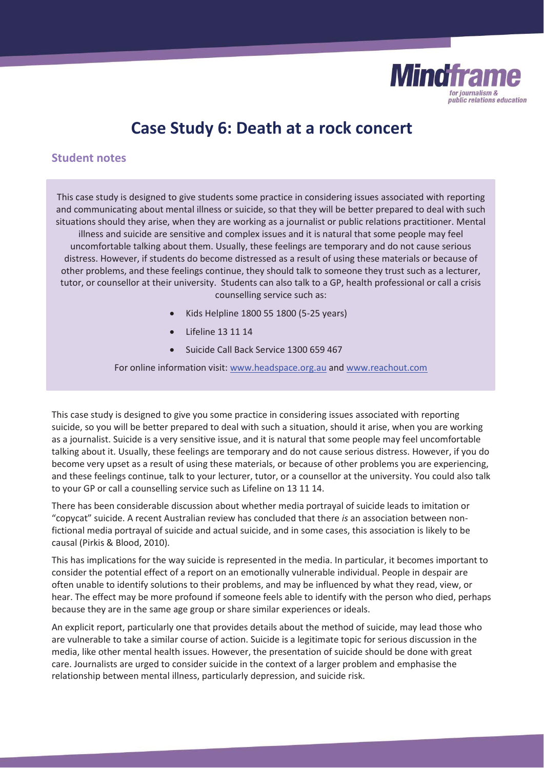

# **Case Study 6: Death at a rock concert**

# **Student notes**

This case study is designed to give students some practice in considering issues associated with reporting and communicating about mental illness or suicide, so that they will be better prepared to deal with such situations should they arise, when they are working as a journalist or public relations practitioner. Mental illness and suicide are sensitive and complex issues and it is natural that some people may feel uncomfortable talking about them. Usually, these feelings are temporary and do not cause serious distress. However, if students do become distressed as a result of using these materials or because of other problems, and these feelings continue, they should talk to someone they trust such as a lecturer, tutor, or counsellor at their university. Students can also talk to a GP, health professional or call a crisis counselling service such as:

- Kids Helpline 1800 55 1800 (5-25 years)
- $\bullet$  Lifeline 13 11 14
- Suicide Call Back Service 1300 659 467

For online information visit: www.headspace.org.au and www.reachout.com

This case study is designed to give you some practice in considering issues associated with reporting suicide, so you will be better prepared to deal with such a situation, should it arise, when you are working as a journalist. Suicide is a very sensitive issue, and it is natural that some people may feel uncomfortable talking about it. Usually, these feelings are temporary and do not cause serious distress. However, if you do become very upset as a result of using these materials, or because of other problems you are experiencing, and these feelings continue, talk to your lecturer, tutor, or a counsellor at the university. You could also talk to your GP or call a counselling service such as Lifeline on 13 11 14.

There has been considerable discussion about whether media portrayal of suicide leads to imitation or "copycat" suicide. A recent Australian review has concluded that there *is* an association between nonfictional media portrayal of suicide and actual suicide, and in some cases, this association is likely to be causal (Pirkis & Blood, 2010)*.* 

This has implications for the way suicide is represented in the media. In particular, it becomes important to consider the potential effect of a report on an emotionally vulnerable individual. People in despair are often unable to identify solutions to their problems, and may be influenced by what they read, view, or hear. The effect may be more profound if someone feels able to identify with the person who died, perhaps because they are in the same age group or share similar experiences or ideals.

An explicit report, particularly one that provides details about the method of suicide, may lead those who are vulnerable to take a similar course of action. Suicide is a legitimate topic for serious discussion in the media, like other mental health issues. However, the presentation of suicide should be done with great care. Journalists are urged to consider suicide in the context of a larger problem and emphasise the relationship between mental illness, particularly depression, and suicide risk.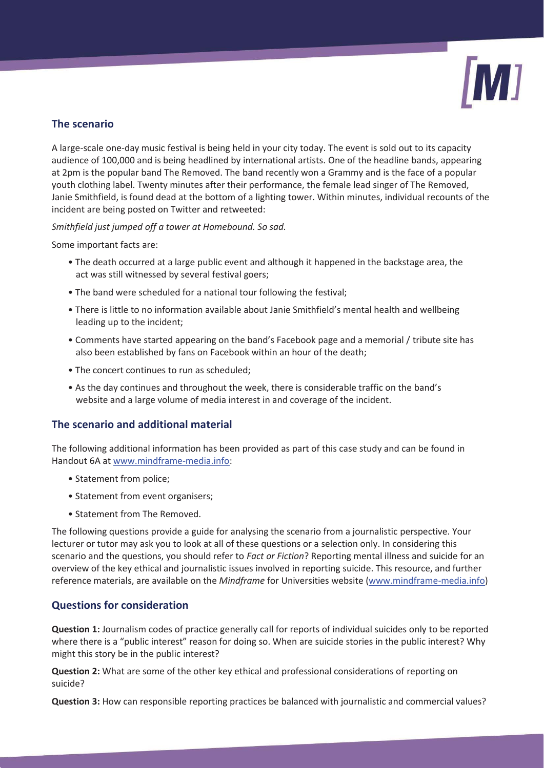

# **The scenario**

A large-scale one-day music festival is being held in your city today. The event is sold out to its capacity audience of 100,000 and is being headlined by international artists. One of the headline bands, appearing at 2pm is the popular band The Removed. The band recently won a Grammy and is the face of a popular youth clothing label. Twenty minutes after their performance, the female lead singer of The Removed, Janie Smithfield, is found dead at the bottom of a lighting tower. Within minutes, individual recounts of the incident are being posted on Twitter and retweeted:

*Smithfield just jumped off a tower at Homebound. So sad.* 

Some important facts are:

- The death occurred at a large public event and although it happened in the backstage area, the act was still witnessed by several festival goers;
- The band were scheduled for a national tour following the festival;
- There is little to no information available about Janie Smithfield's mental health and wellbeing leading up to the incident;
- Comments have started appearing on the band's Facebook page and a memorial / tribute site has also been established by fans on Facebook within an hour of the death;
- The concert continues to run as scheduled;
- As the day continues and throughout the week, there is considerable traffic on the band's website and a large volume of media interest in and coverage of the incident.

## **The scenario and additional material**

The following additional information has been provided as part of this case study and can be found in Handout 6A at www.mindframe-media.info:

- Statement from police;
- Statement from event organisers;
- Statement from The Removed.

The following questions provide a guide for analysing the scenario from a journalistic perspective. Your lecturer or tutor may ask you to look at all of these questions or a selection only. In considering this scenario and the questions, you should refer to *Fact or Fiction*? Reporting mental illness and suicide for an overview of the key ethical and journalistic issues involved in reporting suicide. This resource, and further reference materials, are available on the *Mindframe* for Universities website (www.mindframe-media.info)

## **Questions for consideration**

**Question 1:** Journalism codes of practice generally call for reports of individual suicides only to be reported where there is a "public interest" reason for doing so. When are suicide stories in the public interest? Why might this story be in the public interest?

**Question 2:** What are some of the other key ethical and professional considerations of reporting on suicide?

**Question 3:** How can responsible reporting practices be balanced with journalistic and commercial values?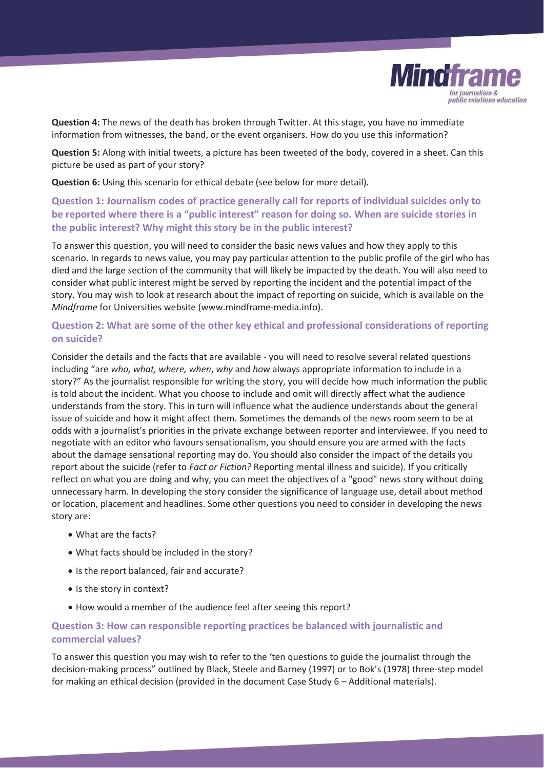

**Question 4:** The news of the death has broken through Twitter. At this stage, you have no immediate information from witnesses, the band, or the event organisers. How do you use this information?

**Question 5:** Along with initial tweets, a picture has been tweeted of the body, covered in a sheet. Can this picture be used as part of your story?

**Question 6:** Using this scenario for ethical debate (see below for more detail).

## **Question 1: Journalism codes of practice generally call for reports of individual suicides only to be reported where there is a "public interest" reason for doing so. When are suicide stories in the public interest? Why might this story be in the public interest?**

To answer this question, you will need to consider the basic news values and how they apply to this scenario. In regards to news value, you may pay particular attention to the public profile of the girl who has died and the large section of the community that will likely be impacted by the death. You will also need to consider what public interest might be served by reporting the incident and the potential impact of the story. You may wish to look at research about the impact of reporting on suicide, which is available on the *Mindframe* for Universities website (www.mindframe-media.info).

### **Question 2: What are some of the other key ethical and professional considerations of reporting on suicide?**

Consider the details and the facts that are available - you will need to resolve several related questions including "are *who, what, where, when*, *why* and *how* always appropriate information to include in a story?" As the journalist responsible for writing the story, you will decide how much information the public is told about the incident. What you choose to include and omit will directly affect what the audience understands from the story. This in turn will influence what the audience understands about the general issue of suicide and how it might affect them. Sometimes the demands of the news room seem to be at odds with a journalist's priorities in the private exchange between reporter and interviewee. If you need to negotiate with an editor who favours sensationalism, you should ensure you are armed with the facts about the damage sensational reporting may do. You should also consider the impact of the details you report about the suicide (refer to *Fact or Fiction?* Reporting mental illness and suicide). If you critically reflect on what you are doing and why, you can meet the objectives of a "good" news story without doing unnecessary harm. In developing the story consider the significance of language use, detail about method or location, placement and headlines. Some other questions you need to consider in developing the news story are:

- What are the facts?
- What facts should be included in the story?
- Is the report balanced, fair and accurate?
- Is the story in context?
- $\bullet$  How would a member of the audience feel after seeing this report?

#### **Question 3: How can responsible reporting practices be balanced with journalistic and commercial values?**

To answer this question you may wish to refer to the 'ten questions to guide the journalist through the decision-making process" outlined by Black, Steele and Barney (1997) or to Bok's (1978) three-step model for making an ethical decision (provided in the document Case Study 6 – Additional materials).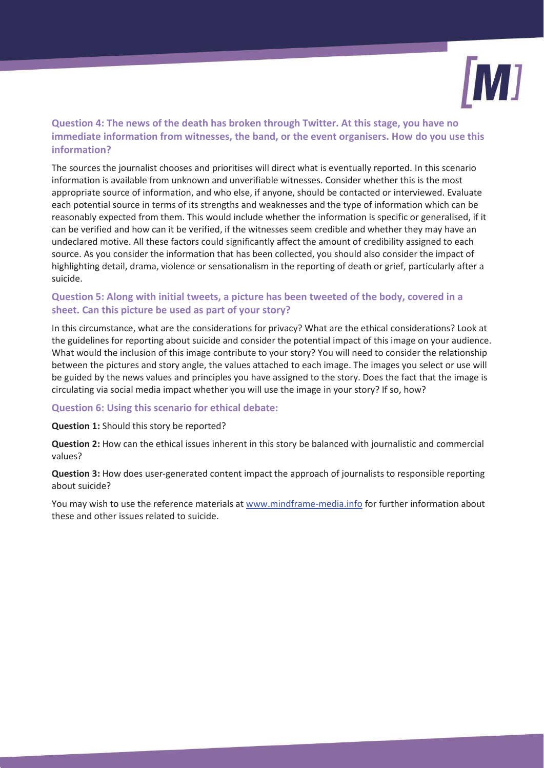

# **Question 4: The news of the death has broken through Twitter. At this stage, you have no immediate information from witnesses, the band, or the event organisers. How do you use this information?**

The sources the journalist chooses and prioritises will direct what is eventually reported. In this scenario information is available from unknown and unverifiable witnesses. Consider whether this is the most appropriate source of information, and who else, if anyone, should be contacted or interviewed. Evaluate each potential source in terms of its strengths and weaknesses and the type of information which can be reasonably expected from them. This would include whether the information is specific or generalised, if it can be verified and how can it be verified, if the witnesses seem credible and whether they may have an undeclared motive. All these factors could significantly affect the amount of credibility assigned to each source. As you consider the information that has been collected, you should also consider the impact of highlighting detail, drama, violence or sensationalism in the reporting of death or grief, particularly after a suicide.

# **Question 5: Along with initial tweets, a picture has been tweeted of the body, covered in a sheet. Can this picture be used as part of your story?**

In this circumstance, what are the considerations for privacy? What are the ethical considerations? Look at the guidelines for reporting about suicide and consider the potential impact of this image on your audience. What would the inclusion of this image contribute to your story? You will need to consider the relationship between the pictures and story angle, the values attached to each image. The images you select or use will be guided by the news values and principles you have assigned to the story. Does the fact that the image is circulating via social media impact whether you will use the image in your story? If so, how?

#### **Question 6: Using this scenario for ethical debate:**

#### **Question 1:** Should this story be reported?

**Question 2:** How can the ethical issues inherent in this story be balanced with journalistic and commercial values?

**Question 3:** How does user-generated content impact the approach of journalists to responsible reporting about suicide?

You may wish to use the reference materials at www.mindframe-media.info for further information about these and other issues related to suicide.